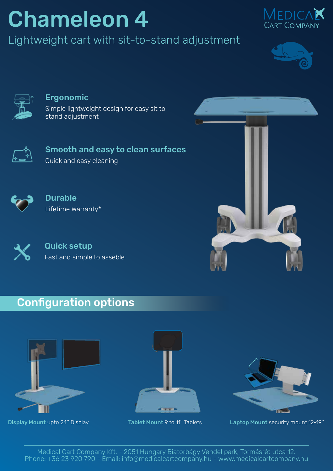# Chameleon 4

Lightweight cart with sit-to-stand adjustment







#### Ergonomic

Simple lightweight design for easy sit to stand adjustment



Smooth and easy to clean surfaces Quick and easy cleaning



Durable Lifetime Warranty\*



Quick setup Fast and simple to asseble



### Configuration options







Display Mount upto 24" Display Tablet Mount 9 to 11" Tablets Laptop Mount security mount 12-19"

Medical Cart Company Kft. - 2051 Hungary Biatorbágy Vendel park, Tormásrét utca 12. Phone: +36 23 920 790 - Email: info@medicalcartcompany.hu - www.medicalcartcompany.hu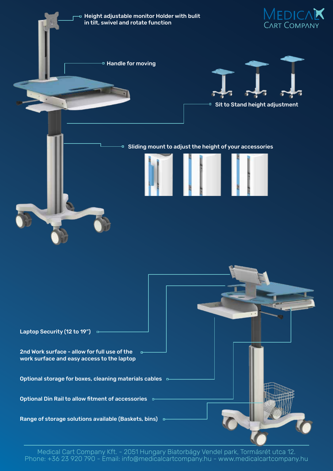

Medical Cart Company Kft. - 2051 Hungary Biatorbágy Vendel park, Tormásrét utca 12. Phone: +36 23 920 790 - Email: info@medicalcartcompany.hu - www.medicalcartcompany.hu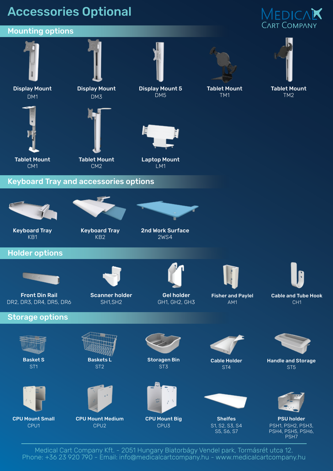## Accessories Optional

## MEDICAK CART COMPANY



Medical Cart Company Kft. - 2051 Hungary Biatorbágy Vendel park, Tormásrét utca 12. Phone: +36 23 920 790 - Email: info@medicalcartcompany.hu - www.medicalcartcompany.hu